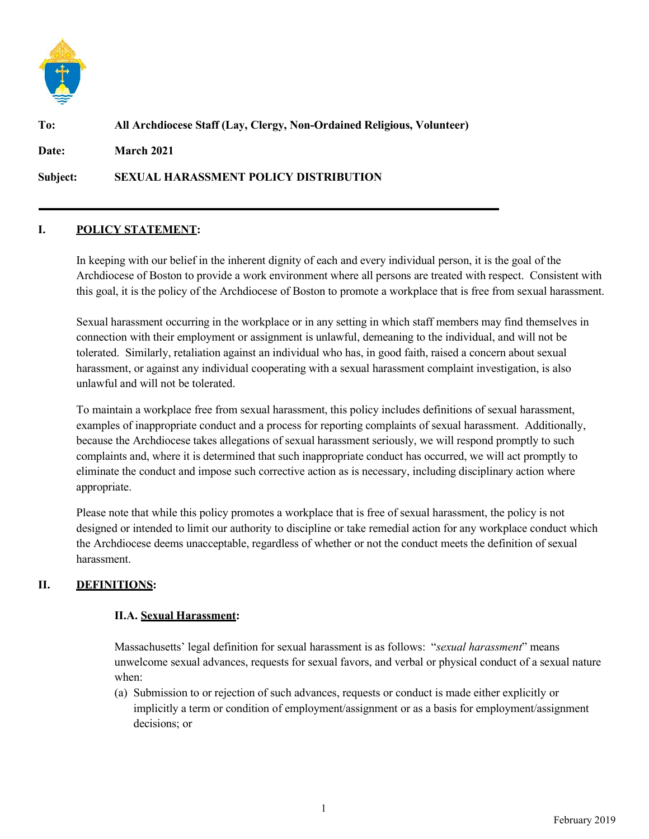

# **To: All Archdiocese Staff (Lay, Clergy, Non-Ordained Religious, Volunteer) Date: March 2021**

**Subject: SEXUAL HARASSMENT POLICY DISTRIBUTION**

## **I. POLICY STATEMENT:**

In keeping with our belief in the inherent dignity of each and every individual person, it is the goal of the Archdiocese of Boston to provide a work environment where all persons are treated with respect. Consistent with this goal, it is the policy of the Archdiocese of Boston to promote a workplace that is free from sexual harassment.

Sexual harassment occurring in the workplace or in any setting in which staff members may find themselves in connection with their employment or assignment is unlawful, demeaning to the individual, and will not be tolerated. Similarly, retaliation against an individual who has, in good faith, raised a concern about sexual harassment, or against any individual cooperating with a sexual harassment complaint investigation, is also unlawful and will not be tolerated.

To maintain a workplace free from sexual harassment, this policy includes definitions of sexual harassment, examples of inappropriate conduct and a process for reporting complaints of sexual harassment. Additionally, because the Archdiocese takes allegations of sexual harassment seriously, we will respond promptly to such complaints and, where it is determined that such inappropriate conduct has occurred, we will act promptly to eliminate the conduct and impose such corrective action as is necessary, including disciplinary action where appropriate.

Please note that while this policy promotes a workplace that is free of sexual harassment, the policy is not designed or intended to limit our authority to discipline or take remedial action for any workplace conduct which the Archdiocese deems unacceptable, regardless of whether or not the conduct meets the definition of sexual harassment.

# **II. DEFINITIONS:**

## **II.A. Sexual Harassment:**

Massachusetts' legal definition for sexual harassment is as follows: "*sexual harassment*" means unwelcome sexual advances, requests for sexual favors, and verbal or physical conduct of a sexual nature when:

(a) Submission to or rejection of such advances, requests or conduct is made either explicitly or implicitly a term or condition of employment/assignment or as a basis for employment/assignment decisions; or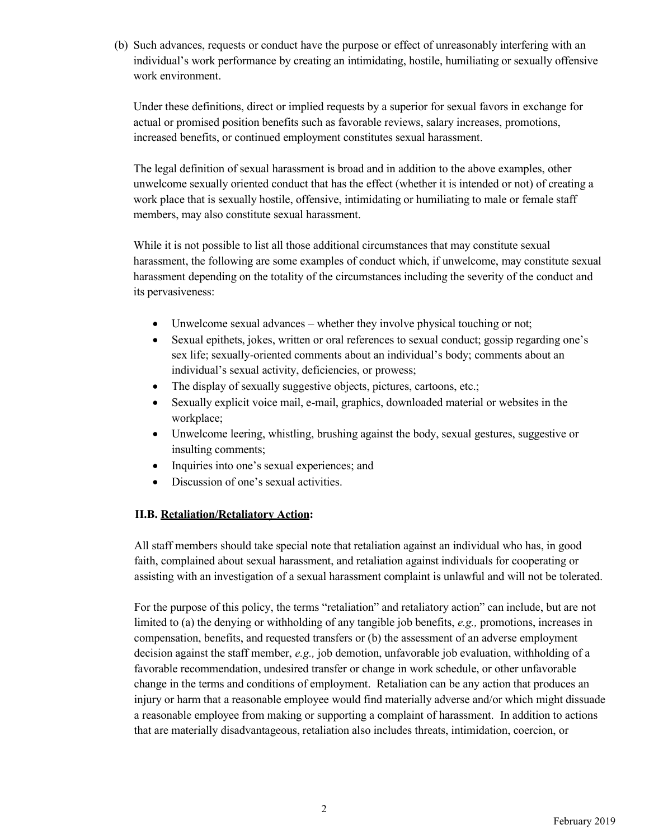(b) Such advances, requests or conduct have the purpose or effect of unreasonably interfering with an individual's work performance by creating an intimidating, hostile, humiliating or sexually offensive work environment.

Under these definitions, direct or implied requests by a superior for sexual favors in exchange for actual or promised position benefits such as favorable reviews, salary increases, promotions, increased benefits, or continued employment constitutes sexual harassment.

The legal definition of sexual harassment is broad and in addition to the above examples, other unwelcome sexually oriented conduct that has the effect (whether it is intended or not) of creating a work place that is sexually hostile, offensive, intimidating or humiliating to male or female staff members, may also constitute sexual harassment.

While it is not possible to list all those additional circumstances that may constitute sexual harassment, the following are some examples of conduct which, if unwelcome, may constitute sexual harassment depending on the totality of the circumstances including the severity of the conduct and its pervasiveness:

- Unwelcome sexual advances whether they involve physical touching or not;
- Sexual epithets, jokes, written or oral references to sexual conduct; gossip regarding one's sex life; sexually-oriented comments about an individual's body; comments about an individual's sexual activity, deficiencies, or prowess;
- The display of sexually suggestive objects, pictures, cartoons, etc.;
- Sexually explicit voice mail, e-mail, graphics, downloaded material or websites in the workplace;
- Unwelcome leering, whistling, brushing against the body, sexual gestures, suggestive or insulting comments;
- Inquiries into one's sexual experiences; and
- Discussion of one's sexual activities.

#### **II.B. Retaliation/Retaliatory Action:**

All staff members should take special note that retaliation against an individual who has, in good faith, complained about sexual harassment, and retaliation against individuals for cooperating or assisting with an investigation of a sexual harassment complaint is unlawful and will not be tolerated.

For the purpose of this policy, the terms "retaliation" and retaliatory action" can include, but are not limited to (a) the denying or withholding of any tangible job benefits, *e.g.,* promotions, increases in compensation, benefits, and requested transfers or (b) the assessment of an adverse employment decision against the staff member, *e.g.,* job demotion, unfavorable job evaluation, withholding of a favorable recommendation, undesired transfer or change in work schedule, or other unfavorable change in the terms and conditions of employment. Retaliation can be any action that produces an injury or harm that a reasonable employee would find materially adverse and/or which might dissuade a reasonable employee from making or supporting a complaint of harassment. In addition to actions that are materially disadvantageous, retaliation also includes threats, intimidation, coercion, or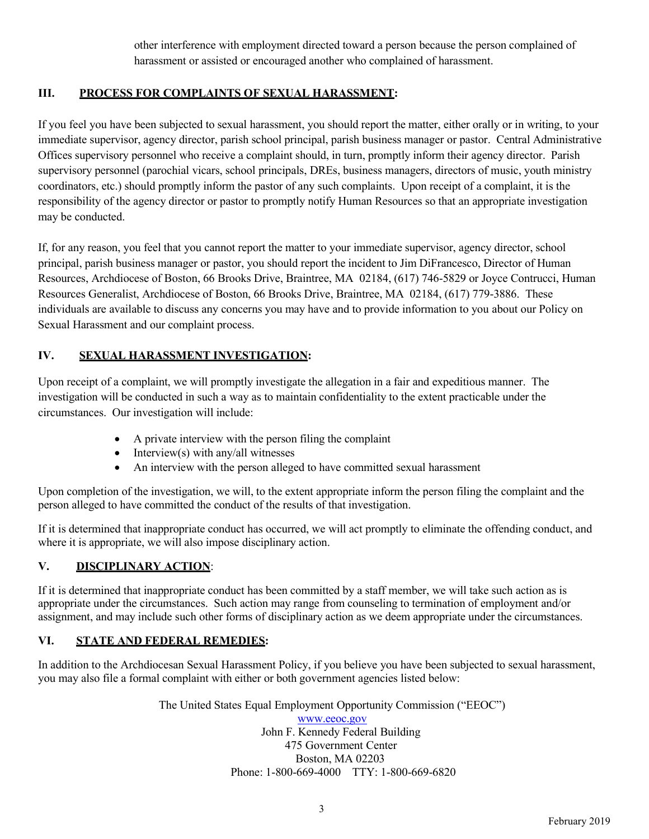other interference with employment directed toward a person because the person complained of harassment or assisted or encouraged another who complained of harassment.

# **III. PROCESS FOR COMPLAINTS OF SEXUAL HARASSMENT:**

If you feel you have been subjected to sexual harassment, you should report the matter, either orally or in writing, to your immediate supervisor, agency director, parish school principal, parish business manager or pastor. Central Administrative Offices supervisory personnel who receive a complaint should, in turn, promptly inform their agency director. Parish supervisory personnel (parochial vicars, school principals, DREs, business managers, directors of music, youth ministry coordinators, etc.) should promptly inform the pastor of any such complaints. Upon receipt of a complaint, it is the responsibility of the agency director or pastor to promptly notify Human Resources so that an appropriate investigation may be conducted.

If, for any reason, you feel that you cannot report the matter to your immediate supervisor, agency director, school principal, parish business manager or pastor, you should report the incident to Jim DiFrancesco, Director of Human Resources, Archdiocese of Boston, 66 Brooks Drive, Braintree, MA 02184, (617) 746-5829 or Joyce Contrucci, Human Resources Generalist, Archdiocese of Boston, 66 Brooks Drive, Braintree, MA 02184, (617) 779-3886. These individuals are available to discuss any concerns you may have and to provide information to you about our Policy on Sexual Harassment and our complaint process.

# **IV. SEXUAL HARASSMENT INVESTIGATION:**

Upon receipt of a complaint, we will promptly investigate the allegation in a fair and expeditious manner. The investigation will be conducted in such a way as to maintain confidentiality to the extent practicable under the circumstances. Our investigation will include:

- A private interview with the person filing the complaint
- Interview(s) with any/all witnesses
- An interview with the person alleged to have committed sexual harassment

Upon completion of the investigation, we will, to the extent appropriate inform the person filing the complaint and the person alleged to have committed the conduct of the results of that investigation.

If it is determined that inappropriate conduct has occurred, we will act promptly to eliminate the offending conduct, and where it is appropriate, we will also impose disciplinary action.

## **V. DISCIPLINARY ACTION**:

If it is determined that inappropriate conduct has been committed by a staff member, we will take such action as is appropriate under the circumstances. Such action may range from counseling to termination of employment and/or assignment, and may include such other forms of disciplinary action as we deem appropriate under the circumstances.

## **VI. STATE AND FEDERAL REMEDIES:**

In addition to the Archdiocesan Sexual Harassment Policy, if you believe you have been subjected to sexual harassment, you may also file a formal complaint with either or both government agencies listed below:

> The United States Equal Employment Opportunity Commission ("EEOC") www.eeoc.gov John F. Kennedy Federal Building 475 Government Center Boston, MA 02203 Phone: 1-800-669-4000 TTY: 1-800-669-6820